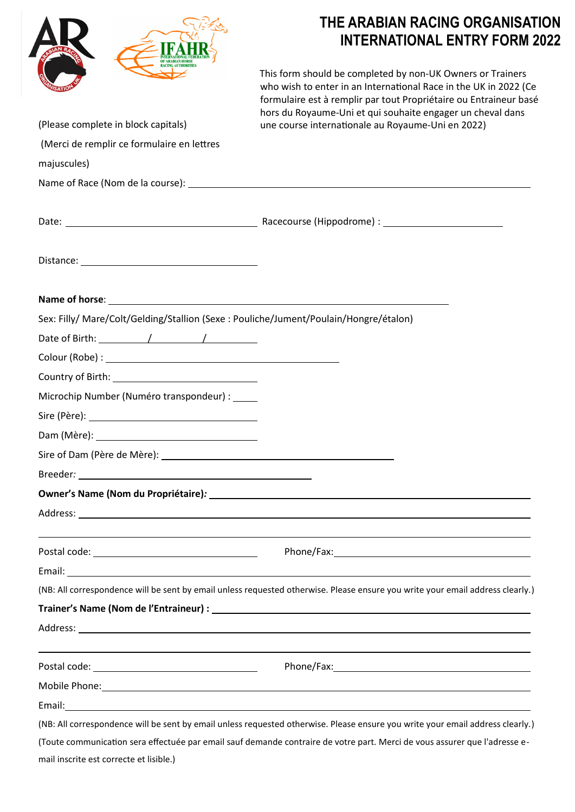|                                                                                                                                                                                                                                      | THE ARABIAN RACING ORGANISATION<br><b>INTERNATIONAL ENTRY FORM 2022</b>                                                                                                                                                                                           |  |
|--------------------------------------------------------------------------------------------------------------------------------------------------------------------------------------------------------------------------------------|-------------------------------------------------------------------------------------------------------------------------------------------------------------------------------------------------------------------------------------------------------------------|--|
|                                                                                                                                                                                                                                      | This form should be completed by non-UK Owners or Trainers<br>who wish to enter in an International Race in the UK in 2022 (Ce<br>formulaire est à remplir par tout Propriétaire ou Entraineur basé<br>hors du Royaume-Uni et qui souhaite engager un cheval dans |  |
| (Please complete in block capitals)                                                                                                                                                                                                  | une course internationale au Royaume-Uni en 2022)                                                                                                                                                                                                                 |  |
| (Merci de remplir ce formulaire en lettres                                                                                                                                                                                           |                                                                                                                                                                                                                                                                   |  |
| majuscules)                                                                                                                                                                                                                          |                                                                                                                                                                                                                                                                   |  |
|                                                                                                                                                                                                                                      |                                                                                                                                                                                                                                                                   |  |
|                                                                                                                                                                                                                                      |                                                                                                                                                                                                                                                                   |  |
| Distance: <u>with the contract of the contract of the contract of the contract of the contract of the contract of the contract of the contract of the contract of the contract of the contract of the contract of the contract o</u> |                                                                                                                                                                                                                                                                   |  |
|                                                                                                                                                                                                                                      |                                                                                                                                                                                                                                                                   |  |
| Sex: Filly/ Mare/Colt/Gelding/Stallion (Sexe : Pouliche/Jument/Poulain/Hongre/étalon)                                                                                                                                                |                                                                                                                                                                                                                                                                   |  |
| Date of Birth: $\sqrt{2\pi}$                                                                                                                                                                                                         |                                                                                                                                                                                                                                                                   |  |
|                                                                                                                                                                                                                                      |                                                                                                                                                                                                                                                                   |  |
|                                                                                                                                                                                                                                      |                                                                                                                                                                                                                                                                   |  |
| Microchip Number (Numéro transpondeur) :                                                                                                                                                                                             |                                                                                                                                                                                                                                                                   |  |
|                                                                                                                                                                                                                                      |                                                                                                                                                                                                                                                                   |  |
|                                                                                                                                                                                                                                      |                                                                                                                                                                                                                                                                   |  |
|                                                                                                                                                                                                                                      |                                                                                                                                                                                                                                                                   |  |
|                                                                                                                                                                                                                                      |                                                                                                                                                                                                                                                                   |  |
|                                                                                                                                                                                                                                      |                                                                                                                                                                                                                                                                   |  |
|                                                                                                                                                                                                                                      |                                                                                                                                                                                                                                                                   |  |
|                                                                                                                                                                                                                                      |                                                                                                                                                                                                                                                                   |  |
|                                                                                                                                                                                                                                      |                                                                                                                                                                                                                                                                   |  |
|                                                                                                                                                                                                                                      | (NB: All correspondence will be sent by email unless requested otherwise. Please ensure you write your email address clearly.)                                                                                                                                    |  |
|                                                                                                                                                                                                                                      |                                                                                                                                                                                                                                                                   |  |
|                                                                                                                                                                                                                                      |                                                                                                                                                                                                                                                                   |  |
|                                                                                                                                                                                                                                      |                                                                                                                                                                                                                                                                   |  |
|                                                                                                                                                                                                                                      |                                                                                                                                                                                                                                                                   |  |
|                                                                                                                                                                                                                                      |                                                                                                                                                                                                                                                                   |  |
|                                                                                                                                                                                                                                      | (NB: All correspondence will be sent by email unless requested otherwise. Please ensure you write your email address clearly.)                                                                                                                                    |  |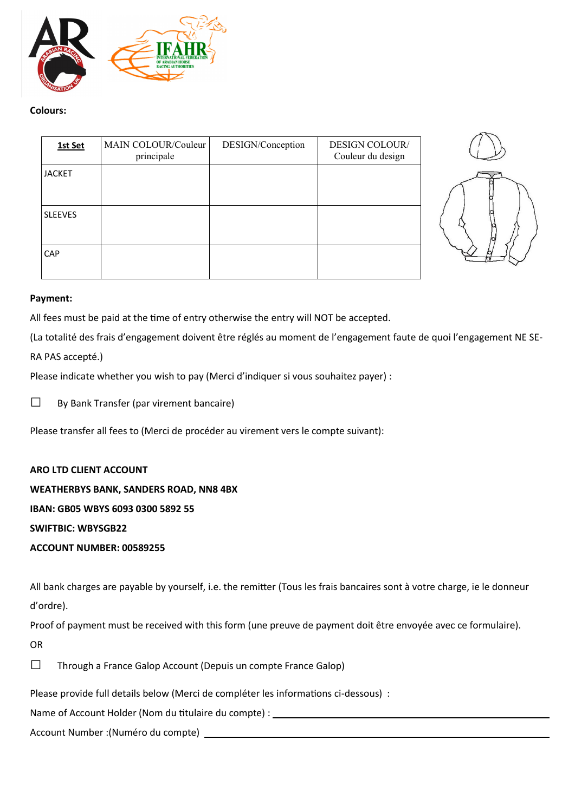

### **Colours:**

| 1st Set        | MAIN COLOUR/Couleur<br>principale | DESIGN/Conception | <b>DESIGN COLOUR/</b><br>Couleur du design |
|----------------|-----------------------------------|-------------------|--------------------------------------------|
| <b>JACKET</b>  |                                   |                   |                                            |
|                |                                   |                   |                                            |
| <b>SLEEVES</b> |                                   |                   |                                            |
| CAP            |                                   |                   |                                            |



### **Payment:**

All fees must be paid at the time of entry otherwise the entry will NOT be accepted.

(La totalité des frais d'engagement doivent être réglés au moment de l'engagement faute de quoi l'engagement NE SE-

RA PAS accepté.)

Please indicate whether you wish to pay (Merci d'indiquer si vous souhaitez payer) :

□ By Bank Transfer (par virement bancaire)

Please transfer all fees to (Merci de procéder au virement vers le compte suivant):

### **ARO LTD CLIENT ACCOUNT**

**WEATHERBYS BANK, SANDERS ROAD, NN8 4BX**

**IBAN: GB05 WBYS 6093 0300 5892 55**

**SWIFTBIC: WBYSGB22**

**ACCOUNT NUMBER: 00589255**

All bank charges are payable by yourself, i.e. the remitter (Tous les frais bancaires sont à votre charge, ie le donneur d'ordre).

Proof of payment must be received with this form (une preuve de payment doit être envoyée avec ce formulaire).

OR

| $\Box$ | Through a France Galop Account (Depuis un compte France Galop) |
|--------|----------------------------------------------------------------|

Please provide full details below (Merci de compléter les informations ci-dessous) :

Name of Account Holder (Nom du titulaire du compte) :

Account Number :(Numéro du compte)